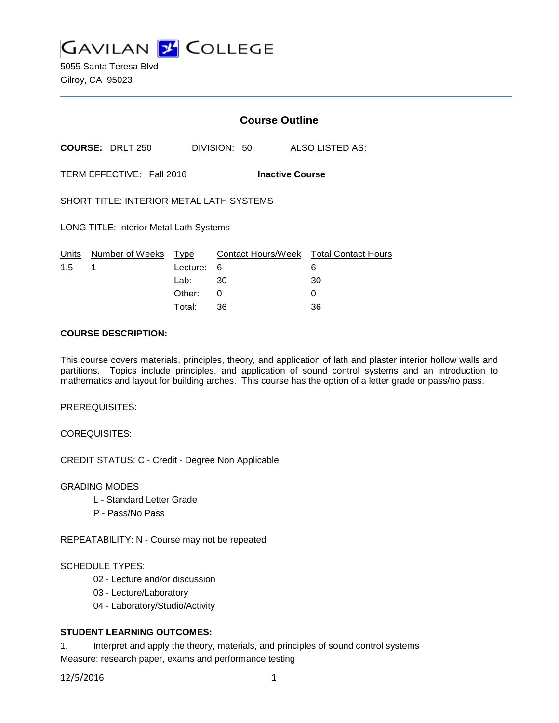

5055 Santa Teresa Blvd Gilroy, CA 95023

# **Course Outline**

**COURSE:** DRLT 250 DIVISION: 50 ALSO LISTED AS:

TERM EFFECTIVE: Fall 2016 **Inactive Course**

SHORT TITLE: INTERIOR METAL LATH SYSTEMS

LONG TITLE: Interior Metal Lath Systems

|               | Units Number of Weeks Type |            | Contact Hours/Week  Total Contact Hours |    |
|---------------|----------------------------|------------|-----------------------------------------|----|
| $1.5 \quad 1$ |                            | Lecture: 6 |                                         |    |
|               |                            | Lab:       | -30                                     | 30 |
|               |                            | Other:     |                                         |    |
|               |                            | Total:     | 36                                      | 36 |

### **COURSE DESCRIPTION:**

This course covers materials, principles, theory, and application of lath and plaster interior hollow walls and partitions. Topics include principles, and application of sound control systems and an introduction to mathematics and layout for building arches. This course has the option of a letter grade or pass/no pass.

PREREQUISITES:

COREQUISITES:

CREDIT STATUS: C - Credit - Degree Non Applicable

GRADING MODES

- L Standard Letter Grade
- P Pass/No Pass

REPEATABILITY: N - Course may not be repeated

### SCHEDULE TYPES:

- 02 Lecture and/or discussion
- 03 Lecture/Laboratory
- 04 Laboratory/Studio/Activity

# **STUDENT LEARNING OUTCOMES:**

1. Interpret and apply the theory, materials, and principles of sound control systems Measure: research paper, exams and performance testing

12/5/2016 1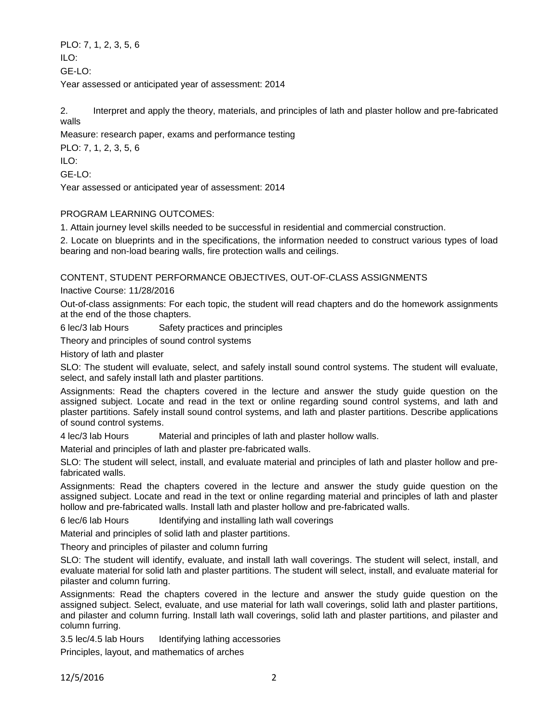PLO: 7, 1, 2, 3, 5, 6  $II$  O: GE-LO: Year assessed or anticipated year of assessment: 2014

2. Interpret and apply the theory, materials, and principles of lath and plaster hollow and pre-fabricated walls

Measure: research paper, exams and performance testing

PLO: 7, 1, 2, 3, 5, 6 ILO: GE-LO:

Year assessed or anticipated year of assessment: 2014

# PROGRAM LEARNING OUTCOMES:

1. Attain journey level skills needed to be successful in residential and commercial construction.

2. Locate on blueprints and in the specifications, the information needed to construct various types of load bearing and non-load bearing walls, fire protection walls and ceilings.

CONTENT, STUDENT PERFORMANCE OBJECTIVES, OUT-OF-CLASS ASSIGNMENTS

Inactive Course: 11/28/2016

Out-of-class assignments: For each topic, the student will read chapters and do the homework assignments at the end of the those chapters.

6 lec/3 lab Hours Safety practices and principles

Theory and principles of sound control systems

History of lath and plaster

SLO: The student will evaluate, select, and safely install sound control systems. The student will evaluate, select, and safely install lath and plaster partitions.

Assignments: Read the chapters covered in the lecture and answer the study guide question on the assigned subject. Locate and read in the text or online regarding sound control systems, and lath and plaster partitions. Safely install sound control systems, and lath and plaster partitions. Describe applications of sound control systems.

4 lec/3 lab Hours Material and principles of lath and plaster hollow walls.

Material and principles of lath and plaster pre-fabricated walls.

SLO: The student will select, install, and evaluate material and principles of lath and plaster hollow and prefabricated walls.

Assignments: Read the chapters covered in the lecture and answer the study guide question on the assigned subject. Locate and read in the text or online regarding material and principles of lath and plaster hollow and pre-fabricated walls. Install lath and plaster hollow and pre-fabricated walls.

6 lec/6 lab Hours Identifying and installing lath wall coverings

Material and principles of solid lath and plaster partitions.

Theory and principles of pilaster and column furring

SLO: The student will identify, evaluate, and install lath wall coverings. The student will select, install, and evaluate material for solid lath and plaster partitions. The student will select, install, and evaluate material for pilaster and column furring.

Assignments: Read the chapters covered in the lecture and answer the study guide question on the assigned subject. Select, evaluate, and use material for lath wall coverings, solid lath and plaster partitions, and pilaster and column furring. Install lath wall coverings, solid lath and plaster partitions, and pilaster and column furring.

3.5 lec/4.5 lab Hours Identifying lathing accessories

Principles, layout, and mathematics of arches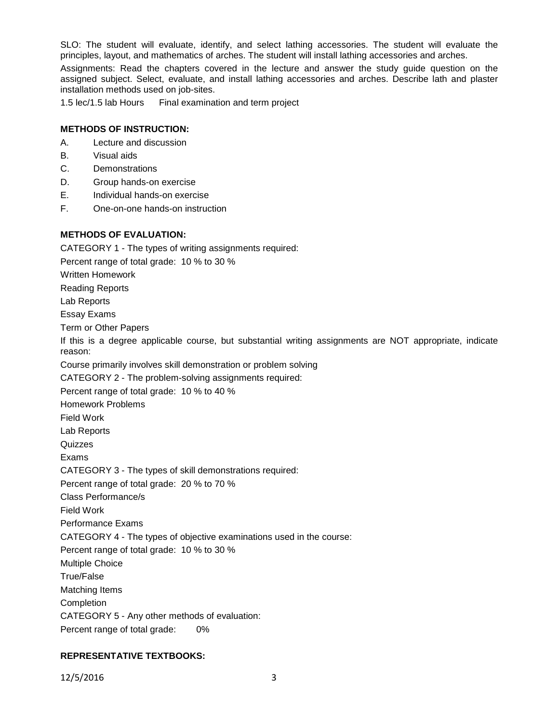SLO: The student will evaluate, identify, and select lathing accessories. The student will evaluate the principles, layout, and mathematics of arches. The student will install lathing accessories and arches.

Assignments: Read the chapters covered in the lecture and answer the study guide question on the assigned subject. Select, evaluate, and install lathing accessories and arches. Describe lath and plaster installation methods used on job-sites.

1.5 lec/1.5 lab Hours Final examination and term project

### **METHODS OF INSTRUCTION:**

- A. Lecture and discussion
- B. Visual aids
- C. Demonstrations
- D. Group hands-on exercise
- E. Individual hands-on exercise
- F. One-on-one hands-on instruction

**METHODS OF EVALUATION:** CATEGORY 1 - The types of writing assignments required: Percent range of total grade: 10 % to 30 % Written Homework Reading Reports Lab Reports Essay Exams Term or Other Papers If this is a degree applicable course, but substantial writing assignments are NOT appropriate, indicate reason: Course primarily involves skill demonstration or problem solving CATEGORY 2 - The problem-solving assignments required: Percent range of total grade: 10 % to 40 % Homework Problems Field Work Lab Reports Quizzes Exams CATEGORY 3 - The types of skill demonstrations required: Percent range of total grade: 20 % to 70 % Class Performance/s Field Work Performance Exams CATEGORY 4 - The types of objective examinations used in the course: Percent range of total grade: 10 % to 30 % Multiple Choice True/False Matching Items Completion CATEGORY 5 - Any other methods of evaluation: Percent range of total grade: 0%

# **REPRESENTATIVE TEXTBOOKS:**

12/5/2016 3